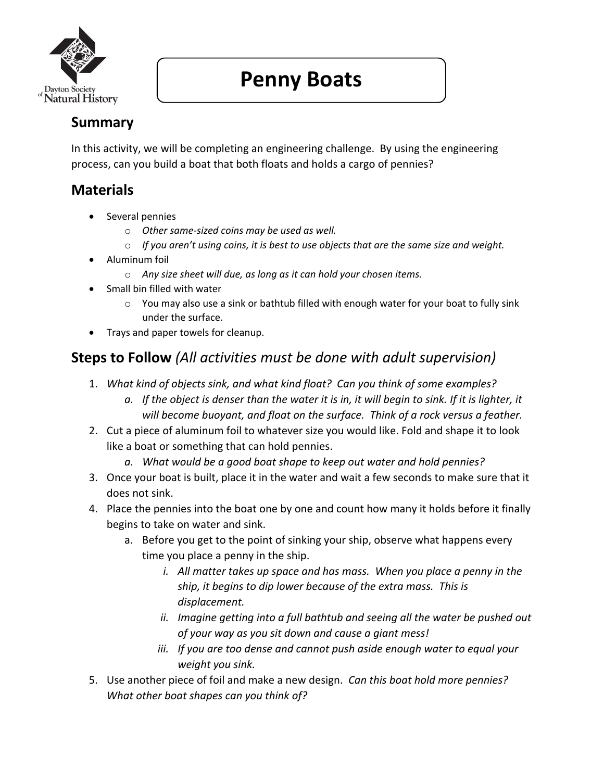

# **Penny Boats**

## **Summary**

In this activity, we will be completing an engineering challenge. By using the engineering process, can you build a boat that both floats and holds a cargo of pennies?

## **Materials**

- Several pennies
	- o *Other same-sized coins may be used as well.*
	- o *If you aren't using coins, it is best to use objects that are the same size and weight.*
- Aluminum foil
	- o *Any size sheet will due, as long as it can hold your chosen items.*
- Small bin filled with water
	- $\circ$  You may also use a sink or bathtub filled with enough water for your boat to fully sink under the surface.
- Trays and paper towels for cleanup.

## **Steps to Follow** *(All activities must be done with adult supervision)*

- 1. *What kind of objects sink, and what kind float? Can you think of some examples?*
	- *a. If the object is denser than the water it is in, it will begin to sink. If it is lighter, it will become buoyant, and float on the surface. Think of a rock versus a feather.*
- 2. Cut a piece of aluminum foil to whatever size you would like. Fold and shape it to look like a boat or something that can hold pennies.
	- *a. What would be a good boat shape to keep out water and hold pennies?*
- 3. Once your boat is built, place it in the water and wait a few seconds to make sure that it does not sink.
- 4. Place the pennies into the boat one by one and count how many it holds before it finally begins to take on water and sink.
	- a. Before you get to the point of sinking your ship, observe what happens every time you place a penny in the ship.
		- *i. All matter takes up space and has mass. When you place a penny in the ship, it begins to dip lower because of the extra mass. This is displacement.*
		- *ii. Imagine getting into a full bathtub and seeing all the water be pushed out of your way as you sit down and cause a giant mess!*
		- *iii. If you are too dense and cannot push aside enough water to equal your weight you sink.*
- 5. Use another piece of foil and make a new design. *Can this boat hold more pennies? What other boat shapes can you think of?*